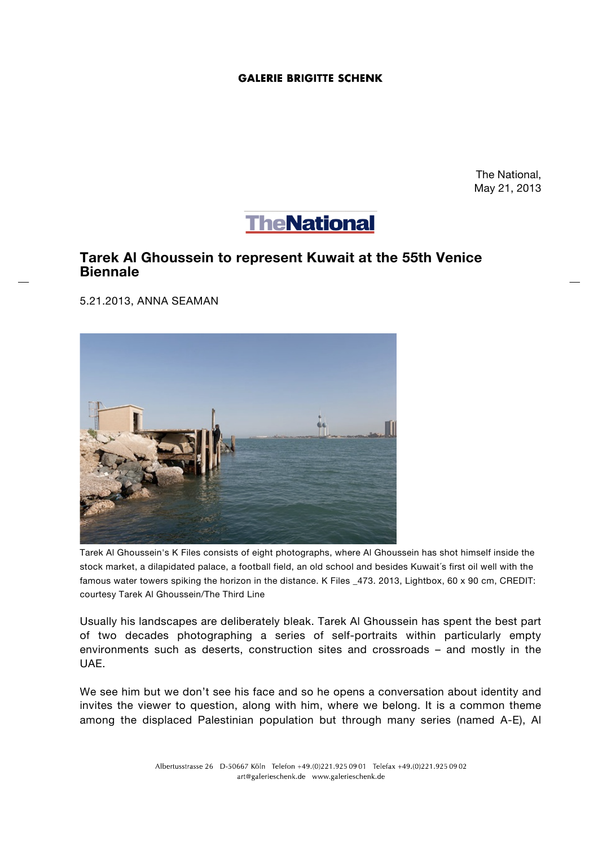## **GALERIE BRIGITTE SCHENK**

The National, May 21, 2013



## **Tarek Al Ghoussein to represent Kuwait at the 55th Venice Biennale**

5.21.2013, ANNA SEAMAN



Tarek Al Ghoussein's K Files consists of eight photographs, where Al Ghoussein has shot himself inside the stock market, a dilapidated palace, a football field, an old school and besides Kuwait´s first oil well with the famous water towers spiking the horizon in the distance. K Files \_473. 2013, Lightbox, 60 x 90 cm, CREDIT: courtesy Tarek Al Ghoussein/The Third Line

Usually his landscapes are deliberately bleak. Tarek Al Ghoussein has spent the best part of two decades photographing a series of self-portraits within particularly empty environments such as deserts, construction sites and crossroads – and mostly in the UAE.

We see him but we don't see his face and so he opens a conversation about identity and invites the viewer to question, along with him, where we belong. It is a common theme among the displaced Palestinian population but through many series (named A-E), Al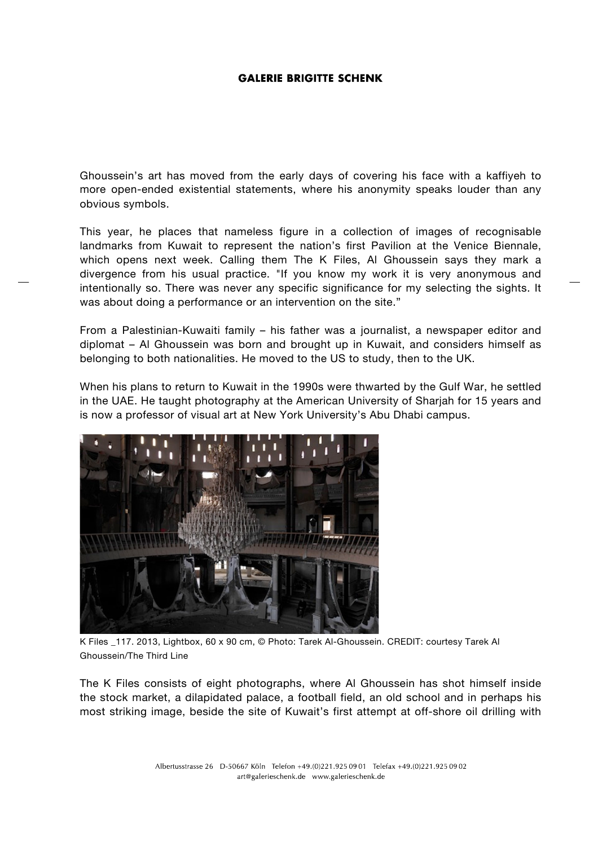## **GALERIE BRIGITTE SCHENK**

Ghoussein's art has moved from the early days of covering his face with a kaffiyeh to more open-ended existential statements, where his anonymity speaks louder than any obvious symbols.

This year, he places that nameless figure in a collection of images of recognisable landmarks from Kuwait to represent the nation's first Pavilion at the Venice Biennale, which opens next week. Calling them The K Files, Al Ghoussein says they mark a divergence from his usual practice. "If you know my work it is very anonymous and intentionally so. There was never any specific significance for my selecting the sights. It was about doing a performance or an intervention on the site."

From a Palestinian-Kuwaiti family – his father was a journalist, a newspaper editor and diplomat – Al Ghoussein was born and brought up in Kuwait, and considers himself as belonging to both nationalities. He moved to the US to study, then to the UK.

When his plans to return to Kuwait in the 1990s were thwarted by the Gulf War, he settled in the UAE. He taught photography at the American University of Sharjah for 15 years and is now a professor of visual art at New York University's Abu Dhabi campus.



K Files \_117. 2013, Lightbox, 60 x 90 cm, © Photo: Tarek Al-Ghoussein. CREDIT: courtesy Tarek Al Ghoussein/The Third Line

The K Files consists of eight photographs, where Al Ghoussein has shot himself inside the stock market, a dilapidated palace, a football field, an old school and in perhaps his most striking image, beside the site of Kuwait's first attempt at off-shore oil drilling with